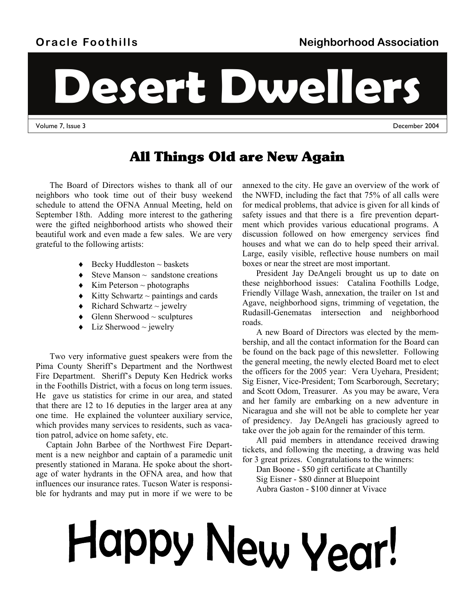# **Oracle Foothills**

**Desert Dwellers** 

Volume 7, Issue 3 December 2004

# All Things Old are New Again

The Board of Directors wishes to thank all of our neighbors who took time out of their busy weekend schedule to attend the OFNA Annual Meeting, held on September 18th. Adding more interest to the gathering were the gifted neighborhood artists who showed their beautiful work and even made a few sales. We are very grateful to the following artists:

- $\triangleleft$  Becky Huddleston  $\sim$  baskets
- $\triangle$  Steve Manson  $\sim$  sandstone creations
- $\triangleleft$  Kim Peterson ~ photographs
- $\triangle$  Kitty Schwartz ~ paintings and cards
- $\bullet$  Richard Schwartz ~ jewelry
- $\triangleleft$  Glenn Sherwood ~ sculptures
- $\bullet$  Liz Sherwood ~ jewelry

Two very informative guest speakers were from the Pima County Sheriff's Department and the Northwest Fire Department. Sheriff's Deputy Ken Hedrick works in the Foothills District, with a focus on long term issues. He gave us statistics for crime in our area, and stated that there are 12 to 16 deputies in the larger area at any one time. He explained the volunteer auxiliary service, which provides many services to residents, such as vacation patrol, advice on home safety, etc.

Captain John Barbee of the Northwest Fire Department is a new neighbor and captain of a paramedic unit presently stationed in Marana. He spoke about the shortage of water hydrants in the OFNA area, and how that influences our insurance rates. Tucson Water is responsible for hydrants and may put in more if we were to be annexed to the city. He gave an overview of the work of the NWFD, including the fact that 75% of all calls were for medical problems, that advice is given for all kinds of safety issues and that there is a fire prevention department which provides various educational programs. A discussion followed on how emergency services find houses and what we can do to help speed their arrival. Large, easily visible, reflective house numbers on mail boxes or near the street are most important.

President Jay DeAngeli brought us up to date on these neighborhood issues: Catalina Foothills Lodge, Friendly Village Wash, annexation, the trailer on 1st and Agave, neighborhood signs, trimming of vegetation, the Rudasill-Genematas intersection and neighborhood roads.

A new Board of Directors was elected by the membership, and all the contact information for the Board can be found on the back page of this newsletter. Following the general meeting, the newly elected Board met to elect the officers for the 2005 year: Vera Uyehara, President; Sig Eisner, Vice-President; Tom Scarborough, Secretary; and Scott Odom, Treasurer. As you may be aware, Vera and her family are embarking on a new adventure in Nicaragua and she will not be able to complete her year of presidency. Jay DeAngeli has graciously agreed to take over the job again for the remainder of this term.

All paid members in attendance received drawing tickets, and following the meeting, a drawing was held for 3 great prizes. Congratulations to the winners:

Dan Boone - \$50 gift certificate at Chantilly Sig Eisner - \$80 dinner at Bluepoint Aubra Gaston - \$100 dinner at Vivace

# Happy New Year!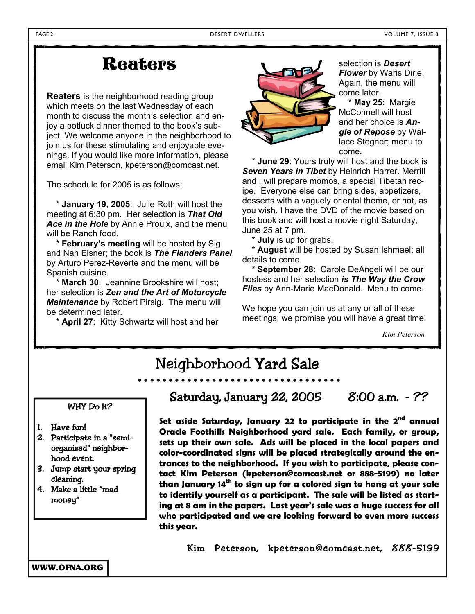# **Reaters**

**Reaters** is the neighborhood reading group which meets on the last Wednesday of each month to discuss the month's selection and enjoy a potluck dinner themed to the book's subject. We welcome anyone in the neighborhood to join us for these stimulating and enjoyable evenings. If you would like more information, please email Kim Peterson, kpeterson@comcast.net.

The schedule for 2005 is as follows:

 \* **January 19, 2005**: Julie Roth will host the meeting at 6:30 pm. Her selection is *That Old Ace in the Hole* by Annie Proulx, and the menu will be Ranch food.

 \* **February's meeting** will be hosted by Sig and Nan Eisner; the book is *The Flanders Panel*  by Arturo Perez-Reverte and the menu will be Spanish cuisine.

 \* **March 30**: Jeannine Brookshire will host; her selection is *Zen and the Art of Motorcycle Maintenance* by Robert Pirsig. The menu will be determined later.

\* **April 27**: Kitty Schwartz will host and her



selection is *Desert Flower* by Waris Dirie. Again, the menu will come later.

 \* **May 25**: Margie McConnell will host and her choice is *Angle of Repose* by Wallace Stegner; menu to come.

 \* **June 29**: Yours truly will host and the book is *Seven Years in Tibet* by Heinrich Harrer. Merrill and I will prepare momos, a special Tibetan recipe. Everyone else can bring sides, appetizers, desserts with a vaguely oriental theme, or not, as you wish. I have the DVD of the movie based on this book and will host a movie night Saturday, June 25 at 7 pm.

\* **July** is up for grabs.

 \* **August** will be hosted by Susan Ishmael; all details to come.

 \* **September 28**: Carole DeAngeli will be our hostess and her selection *is The Way the Crow Flies* by Ann-Marie MacDonald. Menu to come.

We hope you can join us at any or all of these meetings; we promise you will have a great time!

*Kim Peterson* 

# Neighborhood Yard Sale

#### WHY Do It?

- 1. Have fun!
- 2. Participate in a "semiorganized" neighborhood event.
- 3. Jump start your spring cleaning.
- 4. Make a little "mad money"

Saturday, January 22, 2005 8:00 a.m. - ??

**Set aside Saturday, January 22 to participate in the 2nd annual Oracle Foothills Neighborhood yard sale. Each family, or group, sets up their own sale. Ads will be placed in the local papers and color-coordinated signs will be placed strategically around the entrances to the neighborhood. If you wish to participate, please contact Kim Peterson (kpeterson@comcast.net or 888-5199) no later than January 14th to sign up for a colored sign to hang at your sale to identify yourself as a participant. The sale will be listed as starting at 8 am in the papers. Last year's sale was a huge success for all who participated and we are looking forward to even more success this year.**

Kim Peterson, kpeterson@comcast.net, 888-5199

WWW.OFNA.ORG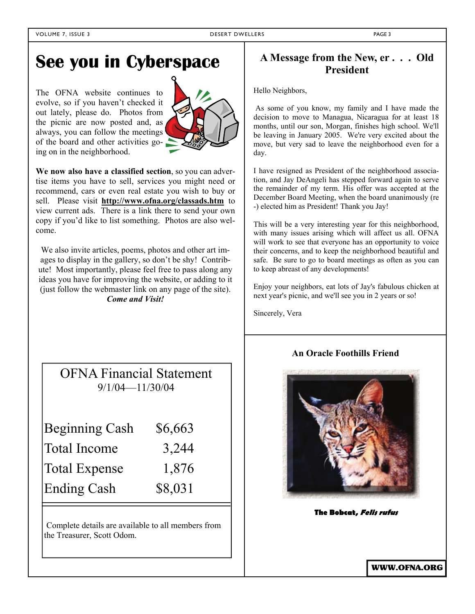# **See you in Cyberspace**

The OFNA website continues to evolve, so if you haven't checked it out lately, please do. Photos from the picnic are now posted and, as always, you can follow the meetings of the board and other activities going on in the neighborhood.



**We now also have a classified section**, so you can advertise items you have to sell, services you might need or recommend, cars or even real estate you wish to buy or sell. Please visit **http://www.ofna.org/classads.htm** to view current ads. There is a link there to send your own copy if you'd like to list something. Photos are also welcome.

We also invite articles, poems, photos and other art images to display in the gallery, so don't be shy! Contribute! Most importantly, please feel free to pass along any ideas you have for improving the website, or adding to it (just follow the webmaster link on any page of the site). *Come and Visit!*

| <b>OFNA Financial Statement</b> |  |
|---------------------------------|--|
| $9/1/04 - 11/30/04$             |  |

| <b>Beginning Cash</b> | \$6,663 |
|-----------------------|---------|
| Total Income          | 3,244   |
| <b>Total Expense</b>  | 1,876   |
| <b>Ending Cash</b>    | \$8,031 |

Complete details are available to all members from the Treasurer, Scott Odom.

#### **A Message from the New, er . . . Old President**

Hello Neighbors,

 As some of you know, my family and I have made the decision to move to Managua, Nicaragua for at least 18 months, until our son, Morgan, finishes high school. We'll be leaving in January 2005. We're very excited about the move, but very sad to leave the neighborhood even for a day.

I have resigned as President of the neighborhood association, and Jay DeAngeli has stepped forward again to serve the remainder of my term. His offer was accepted at the December Board Meeting, when the board unanimously (re -) elected him as President! Thank you Jay!

This will be a very interesting year for this neighborhood, with many issues arising which will affect us all. OFNA will work to see that everyone has an opportunity to voice their concerns, and to keep the neighborhood beautiful and safe. Be sure to go to board meetings as often as you can to keep abreast of any developments!

Enjoy your neighbors, eat lots of Jay's fabulous chicken at next year's picnic, and we'll see you in 2 years or so!

Sincerely, Vera

#### **An Oracle Foothills Friend**



**The Bobcat, Felis rufus** 

WWW.OFNA.ORG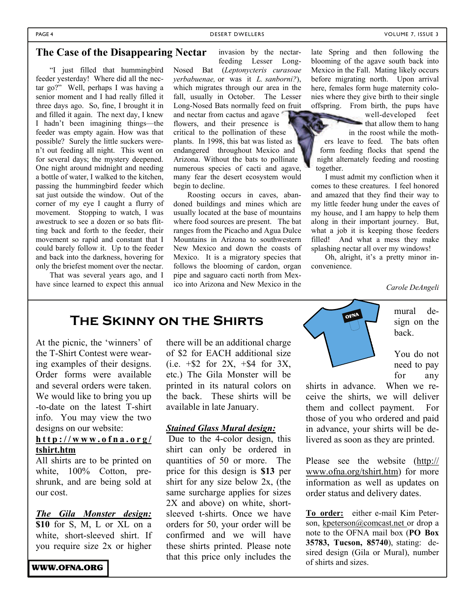#### PAGE 4 DESERT DWELLERS AND DESERT DWELLERS AND MOLUME 7, ISSUE 3

invasion by the nectar-

#### **The Case of the Disappearing Nectar**

"I just filled that hummingbird feeder yesterday! Where did all the nectar go?" Well, perhaps I was having a senior moment and I had really filled it three days ago. So, fine, I brought it in and filled it again. The next day, I knew I hadn't been imagining things—the feeder was empty again. How was that possible? Surely the little suckers weren't out feeding all night. This went on for several days; the mystery deepened. One night around midnight and needing a bottle of water, I walked to the kitchen, passing the hummingbird feeder which sat just outside the window. Out of the corner of my eye I caught a flurry of movement. Stopping to watch, I was awestruck to see a dozen or so bats flitting back and forth to the feeder, their movement so rapid and constant that I could barely follow it. Up to the feeder and back into the darkness, hovering for only the briefest moment over the nectar.

That was several years ago, and I have since learned to expect this annual

feeding Lesser Long-Nosed Bat (*Leptonycteris curasoae yerbabuenae,* or was it *L. sanborni?*), which migrates through our area in the fall, usually in October. The Lesser Long-Nosed Bats normally feed on fruit and nectar from cactus and agave

flowers, and their presence is critical to the pollination of these plants. In 1998, this bat was listed as endangered throughout Mexico and Arizona. Without the bats to pollinate numerous species of cacti and agave, many fear the desert ecosystem would begin to decline.

Roosting occurs in caves, abandoned buildings and mines which are usually located at the base of mountains where food sources are present. The bat ranges from the Picacho and Agua Dulce Mountains in Arizona to southwestern New Mexico and down the coasts of Mexico. It is a migratory species that follows the blooming of cardon, organ pipe and saguaro cacti north from Mexico into Arizona and New Mexico in the

late Spring and then following the blooming of the agave south back into Mexico in the Fall. Mating likely occurs before migrating north. Upon arrival here, females form huge maternity colonies where they give birth to their single offspring. From birth, the pups have

well-developed feet that allow them to hang in the roost while the mothers leave to feed. The bats often form feeding flocks that spend the night alternately feeding and roosting together.

I must admit my confliction when it comes to these creatures. I feel honored and amazed that they find their way to my little feeder hung under the eaves of my house, and I am happy to help them along in their important journey. But, what a job it is keeping those feeders filled! And what a mess they make splashing nectar all over my windows!

Oh, alright, it's a pretty minor inconvenience.

*Carole DeAngeli* 

### **The Skinny on the Shirts**

At the picnic, the 'winners' of the T-Shirt Contest were wearing examples of their designs. Order forms were available and several orders were taken. We would like to bring you up -to-date on the latest T-shirt info. You may view the two designs on our website:

#### **http://www.ofna.org/ tshirt.htm**

All shirts are to be printed on white,  $100\%$  Cotton, preshrunk, and are being sold at our cost.

*The Gila Monster design:*  **\$10** for S, M, L or XL on a white, short-sleeved shirt. If you require size 2x or higher

WWW.OFNA.ORG

there will be an additional charge of \$2 for EACH additional size  $(i.e. + $2$  for  $2X. + $4$  for  $3X.$ etc.) The Gila Monster will be printed in its natural colors on the back. These shirts will be available in late January.

#### *Stained Glass Mural design:*

 Due to the 4-color design, this shirt can only be ordered in quantities of 50 or more. The price for this design is **\$13** per shirt for any size below 2x, (the same surcharge applies for sizes 2X and above) on white, shortsleeved t-shirts. Once we have orders for 50, your order will be confirmed and we will have these shirts printed. Please note that this price only includes the



mural design on the back.

You do not need to pay for any

shirts in advance. When we receive the shirts, we will deliver them and collect payment. For those of you who ordered and paid in advance, your shirts will be delivered as soon as they are printed.

Please see the website (http:// www.ofna.org/tshirt.htm) for more information as well as updates on order status and delivery dates.

**To order:** either e-mail Kim Peterson, kpeterson@comcast.net or drop a note to the OFNA mail box (**PO Box 35783, Tucson, 85740**), stating: desired design (Gila or Mural), number of shirts and sizes.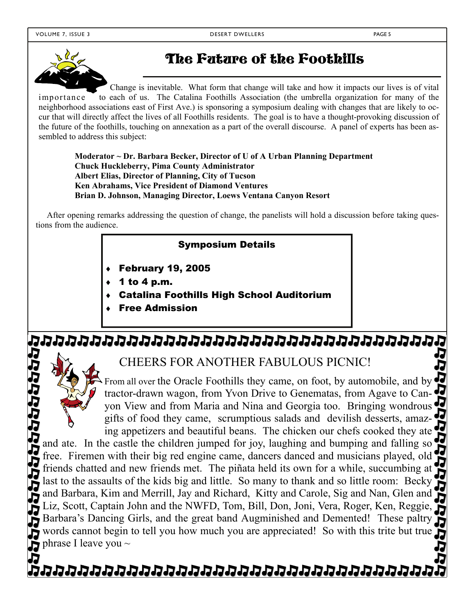

# The Future of the Foothills

Change is inevitable. What form that change will take and how it impacts our lives is of vital importance to each of us. The Catalina Foothills Association (the umbrella organization for many of the neighborhood associations east of First Ave.) is sponsoring a symposium dealing with changes that are likely to occur that will directly affect the lives of all Foothills residents. The goal is to have a thought-provoking discussion of the future of the foothills, touching on annexation as a part of the overall discourse. A panel of experts has been assembled to address this subject:

**Moderator ~ Dr. Barbara Becker, Director of U of A Urban Planning Department Chuck Huckleberry, Pima County Administrator Albert Elias, Director of Planning, City of Tucson Ken Abrahams, Vice President of Diamond Ventures Brian D. Johnson, Managing Director, Loews Ventana Canyon Resort** 

After opening remarks addressing the question of change, the panelists will hold a discussion before taking questions from the audience.

#### Symposium Details

- February 19, 2005
- 1 to 4 p.m.
- Catalina Foothills High School Auditorium
- Free Admission

# ימטטטטטטטטטטטטטטטטטטטטטטטטטט

CHEERS FOR ANOTHER FABULOUS PICNIC!

From all over the Oracle Foothills they came, on foot, by automobile, and by tractor-drawn wagon, from Yvon Drive to Genematas, from Agave to Can-52 yon View and from Maria and Nina and Georgia too. Bringing wondrous gifts of food they came, scrumptious salads and devilish desserts, amazing appetizers and beautiful beans. The chicken our chefs cooked they ate

じゅうしゅうせん and ate. In the castle the children jumped for joy, laughing and bumping and falling so free. Firemen with their big red engine came, dancers danced and musicians played, old friends chatted and new friends met. The piñata held its own for a while, succumbing at last to the assaults of the kids big and little. So many to thank and so little room: Becky and Barbara, Kim and Merrill, Jay and Richard, Kitty and Carole, Sig and Nan, Glen and J. Liz, Scott, Captain John and the NWFD, Tom, Bill, Don, Joni, Vera, Roger, Ken, Reggie, Barbara's Dancing Girls, and the great band Augminished and Demented! These paltry words cannot begin to tell you how much you are appreciated! So with this trite but true phrase I leave you  $\sim$